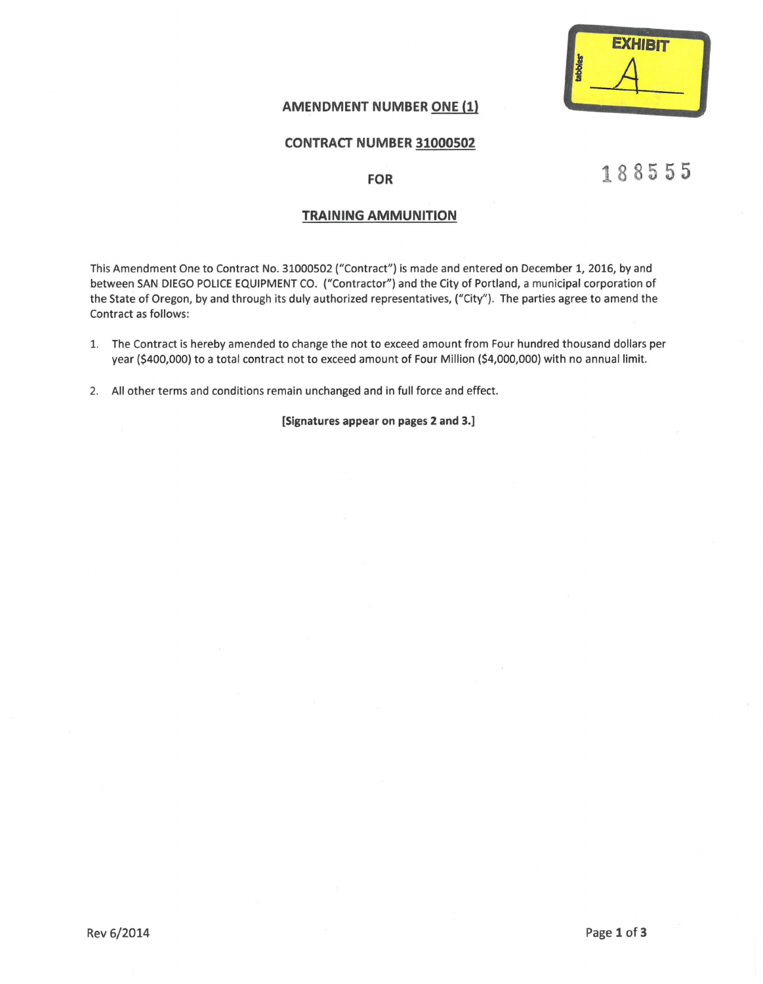

### **AMENDMENT NUMBER ONE (1)**

#### **CONTRACT NUMBER 31000502**

#### **FOR**

# **18855 5**

#### **TRAINING AMMUNITION**

This Amendment One to Contract No. 31000502 ("Contract") is made and entered on December 1, 2016, by and between SAN DIEGO POLICE EQUIPMENT CO. ("Contractor") and the City of Portland, a municipal corporation of the State of Oregon, by and through its duly authorized representatives, ("City"). The parties agree to amend the Contract as follows:

- 1. The Contract is hereby amended to change the not to exceed amount from Four hundred thousand dollars per year (\$400,000) to a total contract not to exceed amount of Four Million (\$4,000,000) with no annual limit.
- 2. All other terms and conditions remain unchanged and in full force and effect.

**[Signatures appear on pages 2 and 3.]**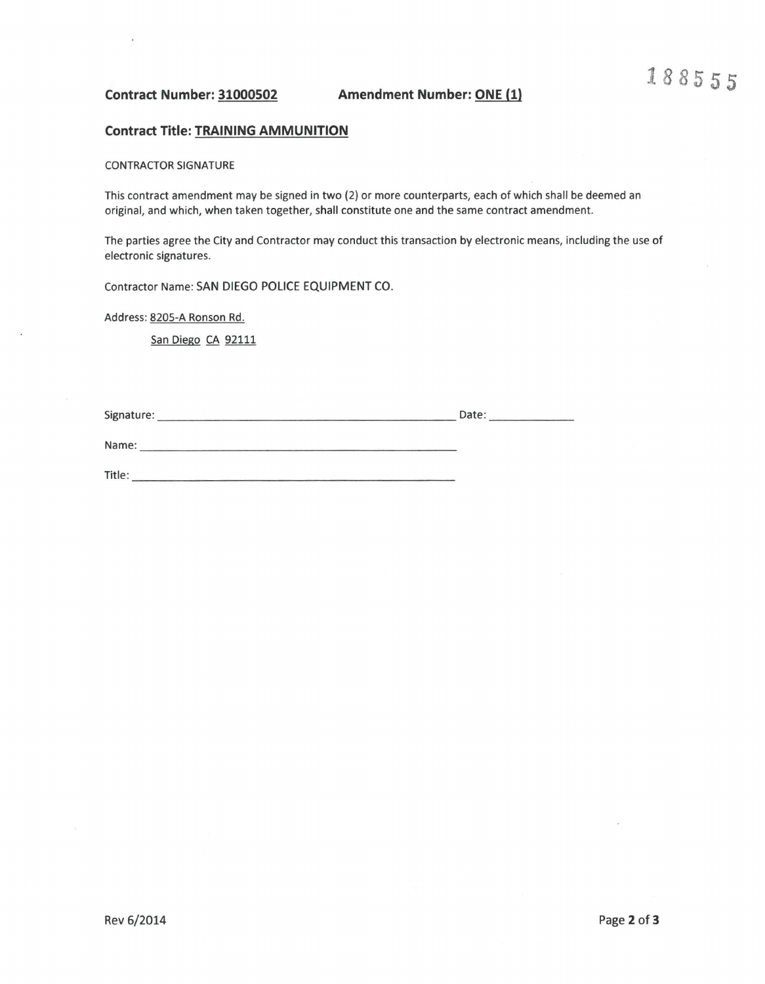**Contract Number: 31000502 Amendment Number: ONE (1)** 

#### **Contract Title: TRAINING AMMUNITION**

CONTRACTOR SIGNATURE

This contract amendment may be signed in two (2) or more counterparts, each of which shall be deemed an original, and which, when taken together, shall constitute one and the same contract amendment.

The parties agree the City and Contractor may conduct this transaction by electronic means, including the use of electronic signatures.

Contractor Name: SAN DIEGO POLICE EQUIPMENT CO.

Name: \_\_\_\_\_\_\_\_\_\_\_\_\_\_\_\_\_\_\_\_\_ \_

Address: 820S-A Ronson Rd.

San Diego CA 92111

Signature: \_\_\_\_\_\_\_\_\_\_\_\_\_\_\_\_\_\_\_\_ Date: \_\_\_\_\_ \_

Title: \_\_\_\_\_\_\_\_\_\_\_\_\_\_\_\_\_\_\_\_\_ \_